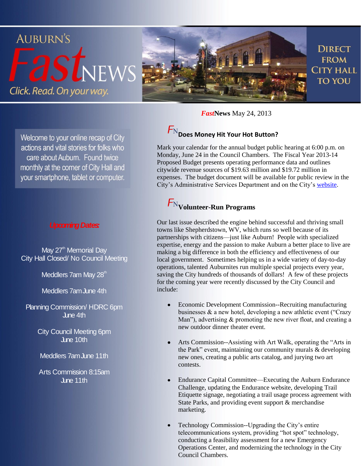

*Fast***News** May 24, 2013

# $F_{\rm N}$  Does Money Hit Your Hot Button?

Mark your calendar for the annual budget public hearing at 6:00 p.m. on Monday, June 24 in the Council Chambers. The Fiscal Year 2013-14 Proposed Budget presents operating performance data and outlines citywide revenue sources of \$19.63 million and \$19.72 million in expenses. The budget document will be available for public review in the City's Administrative Services Department and on the City's [website.](http://www.auburn.ca.gov/)

## **Volunteer-Run Programs**

Our last issue described the engine behind successful and thriving small towns like Shepherdstown, WV, which runs so well because of its partnerships with citizens—just like Auburn! People with specialized expertise, energy and the passion to make Auburn a better place to live are making a big difference in both the efficiency and effectiveness of our local government. Sometimes helping us in a wide variety of day-to-day operations, talented Auburnites run multiple special projects every year, saving the City hundreds of thousands of dollars! A few of these projects for the coming year were recently discussed by the City Council and include:

- Economic Development Commission--Recruiting manufacturing businesses & a new hotel, developing a new athletic event ("Crazy Man"), advertising  $&$  promoting the new river float, and creating a new outdoor dinner theater event.
- Arts Commission--Assisting with Art Walk, operating the "Arts in the Park" event, maintaining our community murals & developing new ones, creating a public arts catalog, and jurying two art contests.
- Endurance Capital Committee—Executing the Auburn Endurance Challenge, updating the Endurance website, developing Trail Etiquette signage, negotiating a trail usage process agreement with State Parks, and providing event support & merchandise marketing.
- Technology Commission--Upgrading the City's entire telecommunications system, providing "hot spot" technology, conducting a feasibility assessment for a new Emergency Operations Center, and modernizing the technology in the City Council Chambers.

Welcome to your online recap of City actions and vital stories for folks who care about Auburn. Found twice monthly at the corner of City Hall and your smartphone, tablet or computer.

#### *Upcoming Dates:*

May 27<sup>th</sup> Memorial Day City Hall Closed/ No Council Meeting

Meddlers 7am May 28<sup>th</sup>

Meddlers 7am June 4th

Planning Commission/HDRC 6pm June 4th

> City Council Meeting 6pm June 10th

Meddlers 7am June 11th

Arts Commission 8:15am  $\ln 11$ th